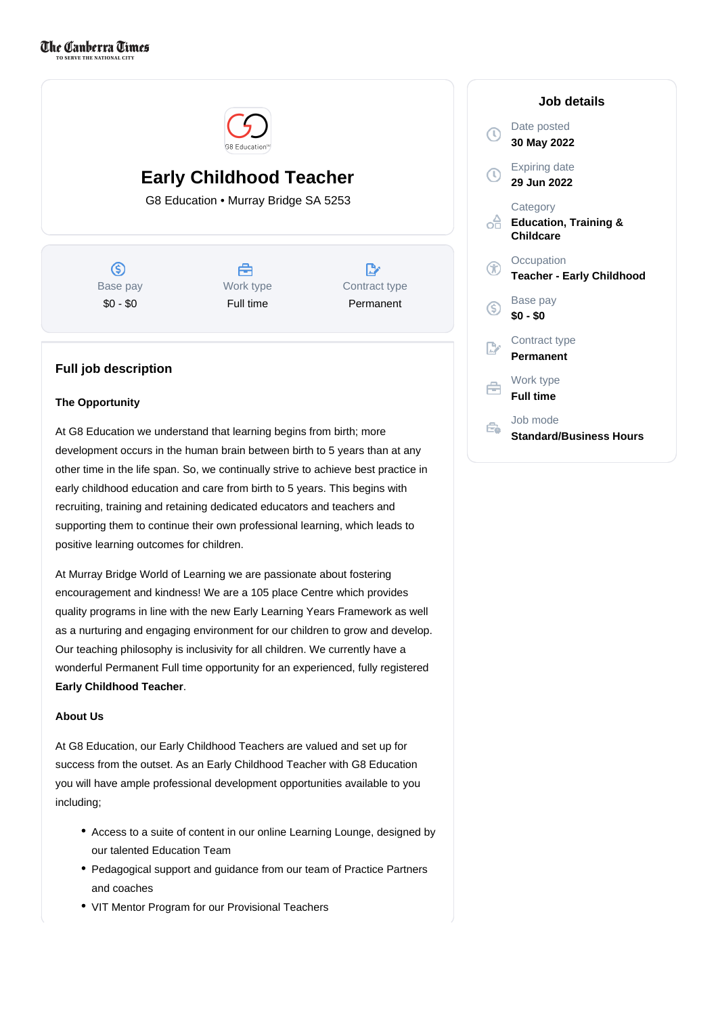

# **Early Childhood Teacher**

G8 Education • Murray Bridge SA 5253

ல Base pay \$0 - \$0



 $\mathbb{R}^n$ Contract type Permanent

## **Full job description**

### **The Opportunity**

At G8 Education we understand that learning begins from birth; more development occurs in the human brain between birth to 5 years than at any other time in the life span. So, we continually strive to achieve best practice in early childhood education and care from birth to 5 years. This begins with recruiting, training and retaining dedicated educators and teachers and supporting them to continue their own professional learning, which leads to positive learning outcomes for children.

At Murray Bridge World of Learning we are passionate about fostering encouragement and kindness! We are a 105 place Centre which provides quality programs in line with the new Early Learning Years Framework as well as a nurturing and engaging environment for our children to grow and develop. Our teaching philosophy is inclusivity for all children. We currently have a wonderful Permanent Full time opportunity for an experienced, fully registered **Early Childhood Teacher**.

## **About Us**

At G8 Education, our Early Childhood Teachers are valued and set up for success from the outset. As an Early Childhood Teacher with G8 Education you will have ample professional development opportunities available to you including;

- Access to a suite of content in our online Learning Lounge, designed by our talented Education Team
- Pedagogical support and guidance from our team of Practice Partners and coaches
- VIT Mentor Program for our Provisional Teachers

|                | Job details                                                      |
|----------------|------------------------------------------------------------------|
| $\mathbb{T}$   | Date posted<br>30 May 2022                                       |
| $\mathbb{C}$   | <b>Expiring date</b><br>29 Jun 2022                              |
| oĤ             | Category<br><b>Education, Training &amp;</b><br><b>Childcare</b> |
| Ŧ              | Occupation<br><b>Teacher - Early Childhood</b>                   |
| S              | Base pay<br>\$0 - \$0                                            |
| $\mathbb{R}^n$ | Contract type<br>Permanent                                       |
| ÷              | Work type<br><b>Full time</b>                                    |
|                | Job mode<br><b>Standard/Business Hours</b>                       |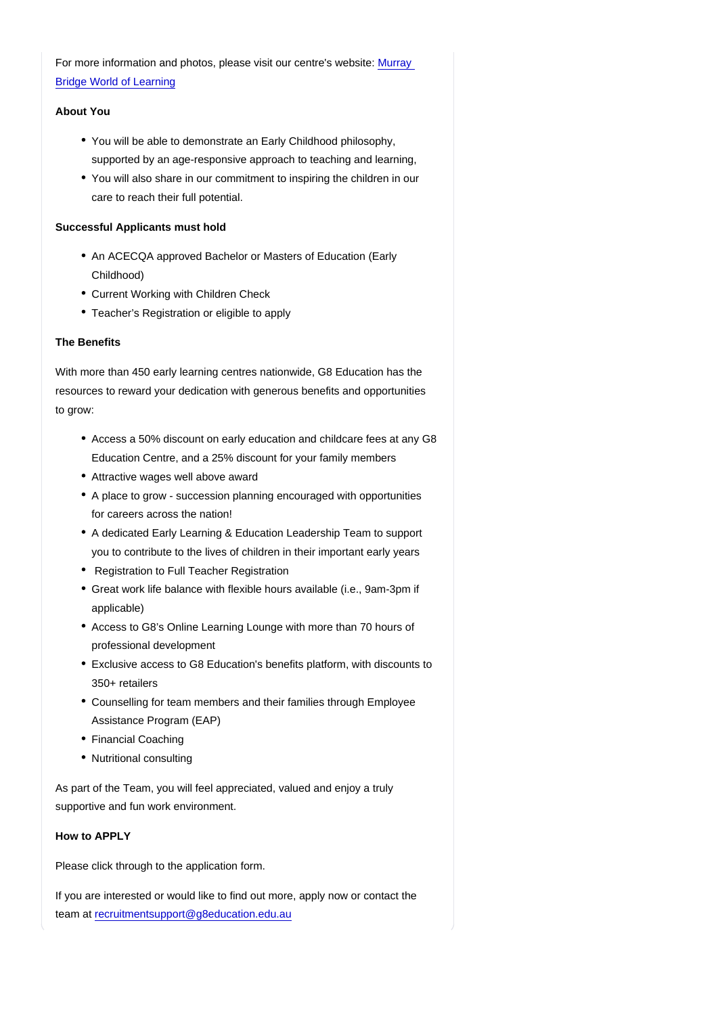For more information and photos, please visit our centre's website: [Murray](https://www.worldoflearning.com.au/find-childcare-near-you/childcare-murray-bridge?utm_source=google&utm_medium=organic&utm_campaign=gmb)  [Bridge World of Learning](https://www.worldoflearning.com.au/find-childcare-near-you/childcare-murray-bridge?utm_source=google&utm_medium=organic&utm_campaign=gmb)

#### About You

- You will be able to demonstrate an Early Childhood philosophy, supported by an age-responsive approach to teaching and learning,
- You will also share in our commitment to inspiring the children in our care to reach their full potential.

Successful Applicants must hold

- An ACECQA approved Bachelor or Masters of Education (Early Childhood)
- Current Working with Children Check
- Teacher's Registration or eligible to apply

#### The Benefits

With more than 450 early learning centres nationwide, G8 Education has the resources to reward your dedication with generous benefits and opportunities to grow:

- Access a 50% discount on early education and childcare fees at any G8 Education Centre, and a 25% discount for your family members
- Attractive wages well above award
- A place to grow succession planning encouraged with opportunities for careers across the nation!
- A dedicated Early Learning & Education Leadership Team to support you to contribute to the lives of children in their important early years
- Registration to Full Teacher Registration
- Great work life balance with flexible hours available (i.e., 9am-3pm if applicable)
- Access to G8's Online Learning Lounge with more than 70 hours of professional development
- Exclusive access to G8 Education's benefits platform, with discounts to 350+ retailers
- Counselling for team members and their families through Employee Assistance Program (EAP)
- Financial Coaching
- Nutritional consulting

As part of the Team, you will feel appreciated, valued and enjoy a truly supportive and fun work environment.

How to APPLY

Please click through to the application form.

If you are interested or would like to find out more, apply now or contact the team at [recruitmentsupport@g8education.edu.au](mailto:recruitmentsupport@g8education.edu.au)